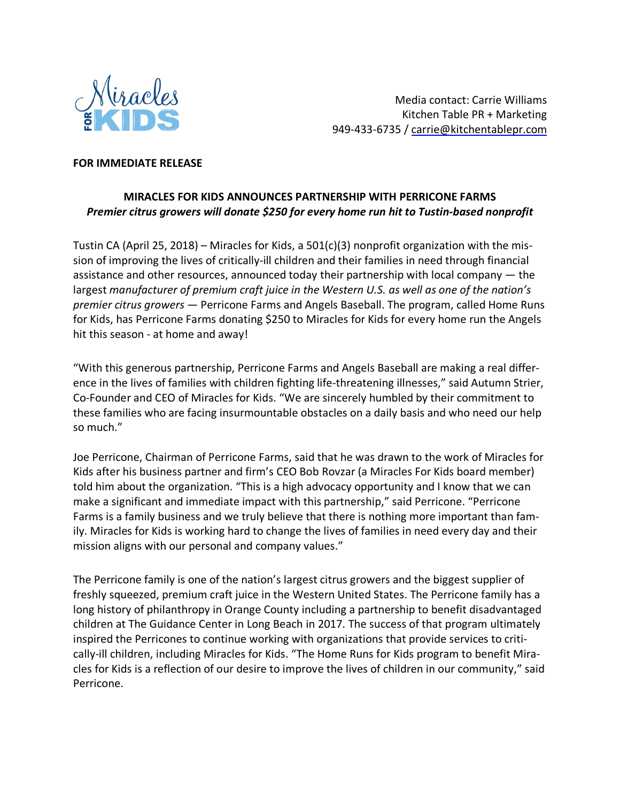

Media contact: Carrie Williams Kitchen Table PR + Marketing 949-433-6735 / carrie@kitchentablepr.com

## **FOR IMMEDIATE RELEASE**

## **MIRACLES FOR KIDS ANNOUNCES PARTNERSHIP WITH PERRICONE FARMS** *Premier citrus growers will donate \$250 for every home run hit to Tustin-based nonprofit*

Tustin CA (April 25, 2018) – Miracles for Kids, a  $501(c)(3)$  nonprofit organization with the mission of improving the lives of critically-ill children and their families in need through financial assistance and other resources, announced today their partnership with local company — the largest *manufacturer of premium craft juice in the Western U.S. as well as one of the nation's premier citrus growers* — Perricone Farms and Angels Baseball. The program, called Home Runs for Kids, has Perricone Farms donating \$250 to Miracles for Kids for every home run the Angels hit this season - at home and away!

"With this generous partnership, Perricone Farms and Angels Baseball are making a real difference in the lives of families with children fighting life-threatening illnesses," said Autumn Strier, Co-Founder and CEO of Miracles for Kids. "We are sincerely humbled by their commitment to these families who are facing insurmountable obstacles on a daily basis and who need our help so much."

Joe Perricone, Chairman of Perricone Farms, said that he was drawn to the work of Miracles for Kids after his business partner and firm's CEO Bob Rovzar (a Miracles For Kids board member) told him about the organization. "This is a high advocacy opportunity and I know that we can make a significant and immediate impact with this partnership," said Perricone. "Perricone Farms is a family business and we truly believe that there is nothing more important than family. Miracles for Kids is working hard to change the lives of families in need every day and their mission aligns with our personal and company values."

The Perricone family is one of the nation's largest citrus growers and the biggest supplier of freshly squeezed, premium craft juice in the Western United States. The Perricone family has a long history of philanthropy in Orange County including a partnership to benefit disadvantaged children at The Guidance Center in Long Beach in 2017. The success of that program ultimately inspired the Perricones to continue working with organizations that provide services to critically-ill children, including Miracles for Kids. "The Home Runs for Kids program to benefit Miracles for Kids is a reflection of our desire to improve the lives of children in our community," said Perricone.